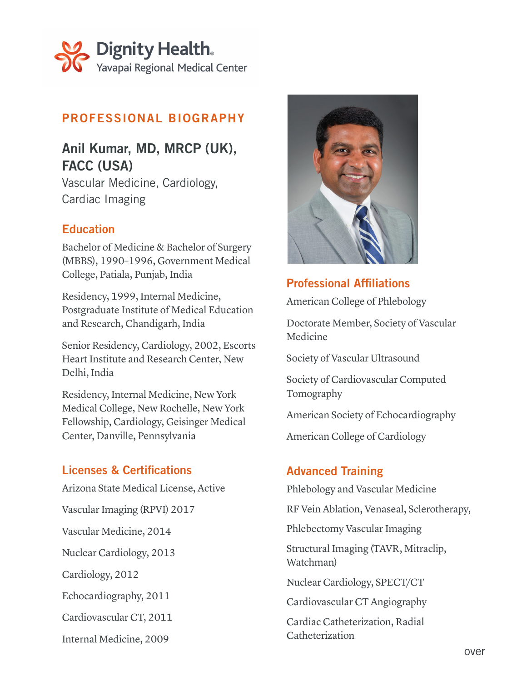

# PROFESSIONAL BIOGRAPHY

# Anil Kumar, MD, MRCP (UK), FACC (USA)

Vascular Medicine, Cardiology, Cardiac Imaging

#### **Education**

Bachelor of Medicine & Bachelor of Surgery (MBBS), 1990–1996, Government Medical College, Patiala, Punjab, India

Residency, 1999, Internal Medicine, Postgraduate Institute of Medical Education and Research, Chandigarh, India

Senior Residency, Cardiology, 2002, Escorts Heart Institute and Research Center, New Delhi, India

Residency, Internal Medicine, New York Medical College, New Rochelle, New York Fellowship, Cardiology, Geisinger Medical Center, Danville, Pennsylvania

### Licenses & Certifications

Arizona State Medical License, Active Vascular Imaging (RPVI) 2017 Vascular Medicine, 2014 Nuclear Cardiology, 2013 Cardiology, 2012 Echocardiography, 2011 Cardiovascular CT, 2011 Internal Medicine, 2009



Professional Affiliations American College of Phlebology

Doctorate Member, Society of Vascular Medicine

Society of Vascular Ultrasound

Society of Cardiovascular Computed Tomography

American Society of Echocardiography

American College of Cardiology

### Advanced Training

Phlebology and Vascular Medicine

RF Vein Ablation, Venaseal, Sclerotherapy,

Phlebectomy Vascular Imaging

Structural Imaging (TAVR, Mitraclip, Watchman)

Nuclear Cardiology, SPECT/CT

Cardiovascular CT Angiography

Cardiac Catheterization, Radial Catheterization